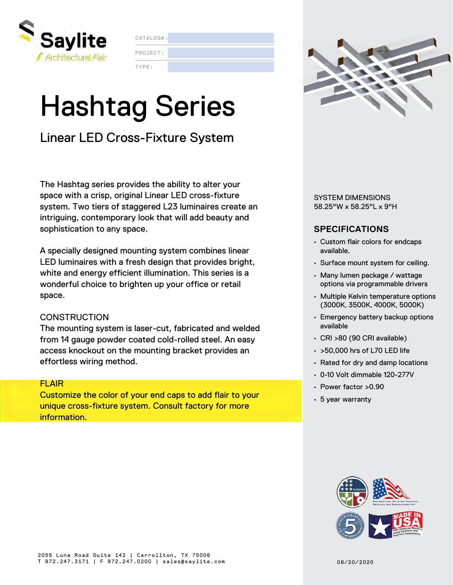

CATALOG#:

PROJECT:

TYPE:

# Hashtag Series

### Linear LED Cross-Fixture System

The Hashtag series provides the ability to alter your space with a crisp, original Linear LED cross-fixture system. Two tiers of staggered L23 luminaires create an intriguing, contemporary look that will add beauty and sophistication to any space.

A specially designed mounting system combines linear LED luminaires with a fresh design that provides bright, white and energy efficient illumination. This series is a wonderful choice to brighten up your office or retail space.

#### **CONSTRUCTION**

The mounting system is laser-cut, fabricated and welded from 14 gauge powder coated cold-rolled steel. An easy access knockout on the mounting bracket provides an effortless wiring method.

#### FLAIR

Customize the color of your end caps to add flair to your unique cross-fixture system. Consult factory for more information.



SYSTEM DIMENSIONS 58.25"W x 58.25"L x 9"H

#### **SPECIFICATIONS**

- Custom flair colors for endcaps available.
- Surface mount system for ceiling.
- Many lumen package / wattage options via programmable drivers
- Multiple Kelvin temperature options (3000K, 3500K, 4000K, 5000K)
- Emergency battery backup options available
- CRI >80 (90 CRI available)
- >50,000 hrs of L70 LED life
- Rated for dry and damp locations
- 0-10 Volt dimmable 120-277V
- Power factor >0.90
- 5 year warranty

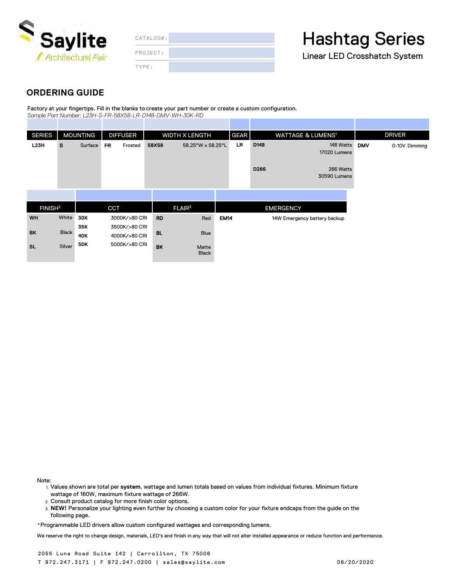

|  |  |  |  | $CATAI OG#$ : |  |
|--|--|--|--|---------------|--|
|  |  |  |  |               |  |

TYPE: PROJECT: **Hashtag Series** 

Linear LED Crosshatch System

#### **ORDERING GUIDE**

Factory at your fingertips. Fill in the blanks to create your part number or create a custom configuration. *Sample Part Number: L23H-S-FR-58X58-LR-D148-DMV-WH-30K-RD*

| <b>SERIES</b>       |              | <b>MOUNTING</b> |            | <b>DIFFUSER</b>                | WIDTH X LENGTH |                       |             | <b>GEAR</b> | <b>WATTAGE &amp; LUMENS1</b> |                              | <b>DRIVER</b> |               |
|---------------------|--------------|-----------------|------------|--------------------------------|----------------|-----------------------|-------------|-------------|------------------------------|------------------------------|---------------|---------------|
| L23H                | <b>S</b>     | Surface         | <b>FR</b>  | Frosted                        | 58X58          | 58.25"W x 58.25"L     |             | LR          | D148                         | 148 Watts<br>17020 Lumens    | <b>DMV</b>    | 0-10V Dimming |
|                     |              |                 |            |                                |                |                       |             |             | D266                         | 266 Watts<br>30590 Lumens    |               |               |
|                     |              |                 |            |                                |                |                       |             |             |                              |                              |               |               |
| FINISH <sup>2</sup> |              |                 | <b>CCT</b> |                                |                | FLAIR <sup>3</sup>    |             |             |                              | <b>EMERGENCY</b>             |               |               |
| <b>WH</b>           | White        | 30K             |            | 3000K/>80 CRI                  | <b>RD</b>      | Red                   | <b>EM14</b> |             |                              | 14W Emergency battery backup |               |               |
| <b>BK</b>           | <b>Black</b> | 35K<br>40K      |            | 3500K/>80 CRI<br>4000K/>80 CRI | <b>BL</b>      | Blue                  |             |             |                              |                              |               |               |
| <b>SL</b>           | Silver       | <b>50K</b>      |            | 5000K/>80 CRI                  | <b>BK</b>      | Matte<br><b>Black</b> |             |             |                              |                              |               |               |

Note:

- 1. Values shown are total per **system**, wattage and lumen totals based on values from individual fixtures. Minimum fixture wattage of 160W, maximum fixture wattage of 266W.
- 2. Consult product catalog for more finish color options.
- 3. **NEW!** Personalize your lighting even further by choosing a custom color for your fixture endcaps from the guide on the following page.

\*Programmable LED drivers allow custom configured wattages and corresponding lumens.

We reserve the right to change design, materials, LED's and finish in any way that will not alter installed appearance or reduce function and performance.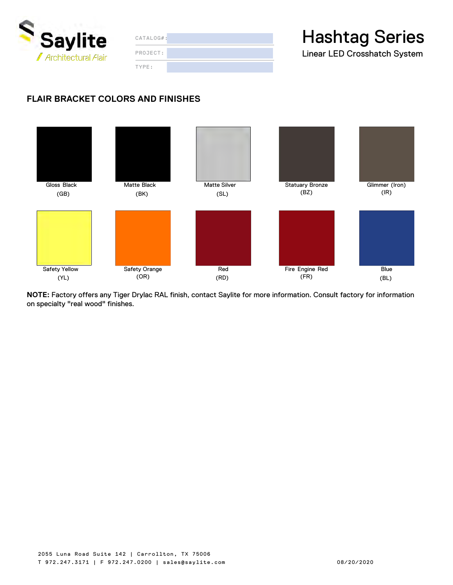

| CATALOG#: |  |  |  |  |  |  |
|-----------|--|--|--|--|--|--|
| PROJECT:  |  |  |  |  |  |  |
| TYPE:     |  |  |  |  |  |  |

### **Hashtag Series**

Linear LED Crosshatch System

#### **FLAIR BRACKET COLORS AND FINISHES**



**NOTE:** Factory offers any Tiger Drylac RAL finish, contact Saylite for more information. Consult factory for information on specialty "real wood" finishes.